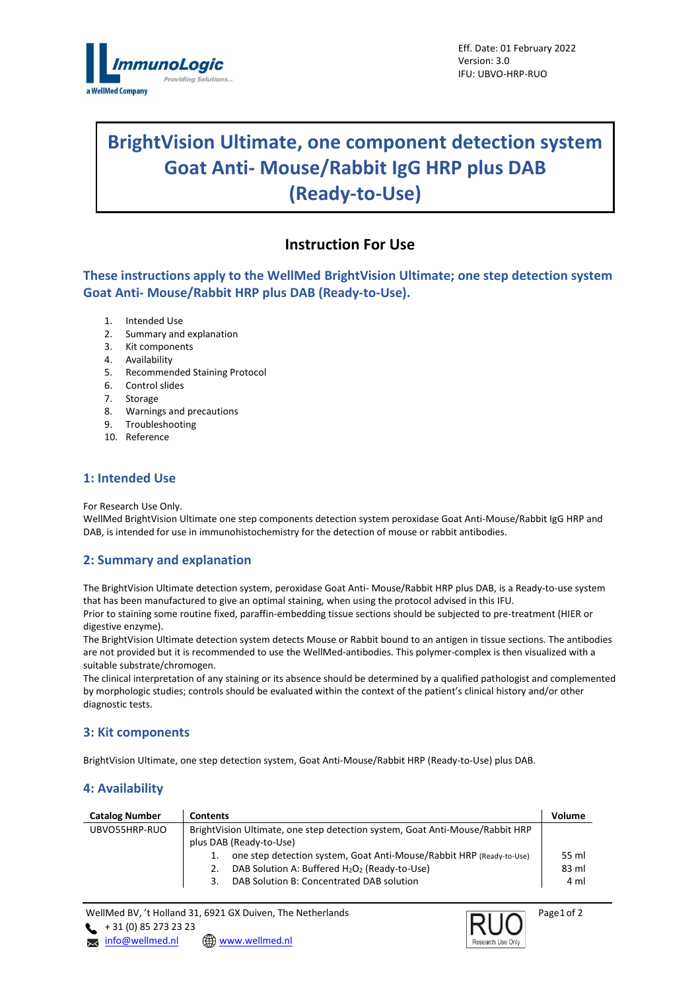

# **BrightVision Ultimate, one component detection system Goat Anti- Mouse/Rabbit IgG HRP plus DAB (Ready-to-Use)**

## **Instruction For Use**

**These instructions apply to the WellMed BrightVision Ultimate; one step detection system Goat Anti- Mouse/Rabbit HRP plus DAB (Ready-to-Use).**

- 1. Intended Use
- 2. Summary and explanation
- 3. Kit components
- 4. Availability
- 5. Recommended Staining Protocol
- 6. Control slides
- 7. Storage
- 8. Warnings and precautions
- 9. Troubleshooting
- 10. Reference

## **1: Intended Use**

For Research Use Only.

WellMed BrightVision Ultimate one step components detection system peroxidase Goat Anti-Mouse/Rabbit IgG HRP and DAB, is intended for use in immunohistochemistry for the detection of mouse or rabbit antibodies.

## **2: Summary and explanation**

The BrightVision Ultimate detection system, peroxidase Goat Anti- Mouse/Rabbit HRP plus DAB, is a Ready-to-use system that has been manufactured to give an optimal staining, when using the protocol advised in this IFU. Prior to staining some routine fixed, paraffin-embedding tissue sections should be subjected to pre-treatment (HIER or digestive enzyme).

The BrightVision Ultimate detection system detects Mouse or Rabbit bound to an antigen in tissue sections. The antibodies are not provided but it is recommended to use the WellMed-antibodies. This polymer-complex is then visualized with a suitable substrate/chromogen.

The clinical interpretation of any staining or its absence should be determined by a qualified pathologist and complemented by morphologic studies; controls should be evaluated within the context of the patient's clinical history and/or other diagnostic tests.

## **3: Kit components**

BrightVision Ultimate, one step detection system, Goat Anti-Mouse/Rabbit HRP (Ready-to-Use) plus DAB.

## **4: Availability**

| <b>Catalog Number</b> | <b>Contents</b>                                                              | Volume |  |
|-----------------------|------------------------------------------------------------------------------|--------|--|
| UBVO55HRP-RUO         | BrightVision Ultimate, one step detection system, Goat Anti-Mouse/Rabbit HRP |        |  |
|                       | plus DAB (Ready-to-Use)                                                      |        |  |
|                       | one step detection system, Goat Anti-Mouse/Rabbit HRP (Ready-to-Use)         | 55 ml  |  |
|                       | DAB Solution A: Buffered H <sub>2</sub> O <sub>2</sub> (Ready-to-Use)<br>2.  | 83 ml  |  |
|                       | DAB Solution B: Concentrated DAB solution                                    | 4 ml   |  |

WellMed BV, 't Holland 31, 6921 GX Duiven, The Netherlands  $+ 31 (0) 85 273 23 23$ **x** [info@wellmed.nl](mailto:info@wellmed.nl) **@** www.wellmed.nl



Page 1 of 2